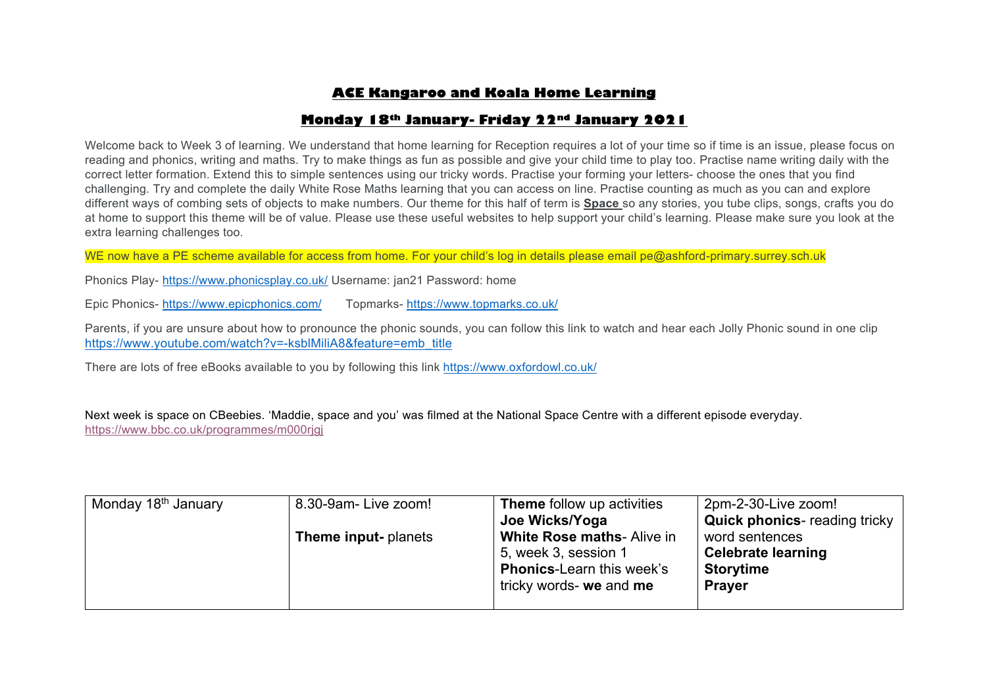## **ACE Kangaroo and Koala Home Learning**

## **Monday 18th January- Friday 22nd January 2021**

Welcome back to Week 3 of learning. We understand that home learning for Reception requires a lot of your time so if time is an issue, please focus on reading and phonics, writing and maths. Try to make things as fun as possible and give your child time to play too. Practise name writing daily with the correct letter formation. Extend this to simple sentences using our tricky words. Practise your forming your letters- choose the ones that you find challenging. Try and complete the daily White Rose Maths learning that you can access on line. Practise counting as much as you can and explore different ways of combing sets of objects to make numbers. Our theme for this half of term is **Space** so any stories, you tube clips, songs, crafts you do at home to support this theme will be of value. Please use these useful websites to help support your child's learning. Please make sure you look at the extra learning challenges too.

WE now have a PE scheme available for access from home. For your child's log in details please email pe@ashford-primary.surrey.sch.uk

Phonics Play- https://www.phonicsplay.co.uk/ Username: jan21 Password: home

Epic Phonics- https://www.epicphonics.com/ Topmarks- https://www.topmarks.co.uk/

Parents, if you are unsure about how to pronounce the phonic sounds, you can follow this link to watch and hear each Jolly Phonic sound in one clip https://www.youtube.com/watch?v=-ksblMiliA8&feature=emb\_title

There are lots of free eBooks available to you by following this link https://www.oxfordowl.co.uk/

Next week is space on CBeebies. 'Maddie, space and you' was filmed at the National Space Centre with a different episode everyday. https://www.bbc.co.uk/programmes/m000rigi

| Monday 18 <sup>th</sup> January | 8.30-9am- Live zoom!       | <b>Theme</b> follow up activities | 2pm-2-30-Live zoom!                  |
|---------------------------------|----------------------------|-----------------------------------|--------------------------------------|
|                                 |                            | Joe Wicks/Yoga                    | <b>Quick phonics-</b> reading tricky |
|                                 | <b>Theme input-planets</b> | <b>White Rose maths-Alive in</b>  | word sentences                       |
|                                 |                            | 5, week 3, session 1              | <b>Celebrate learning</b>            |
|                                 |                            | <b>Phonics-Learn this week's</b>  | <b>Storytime</b>                     |
|                                 |                            | tricky words- we and me           | <b>Prayer</b>                        |
|                                 |                            |                                   |                                      |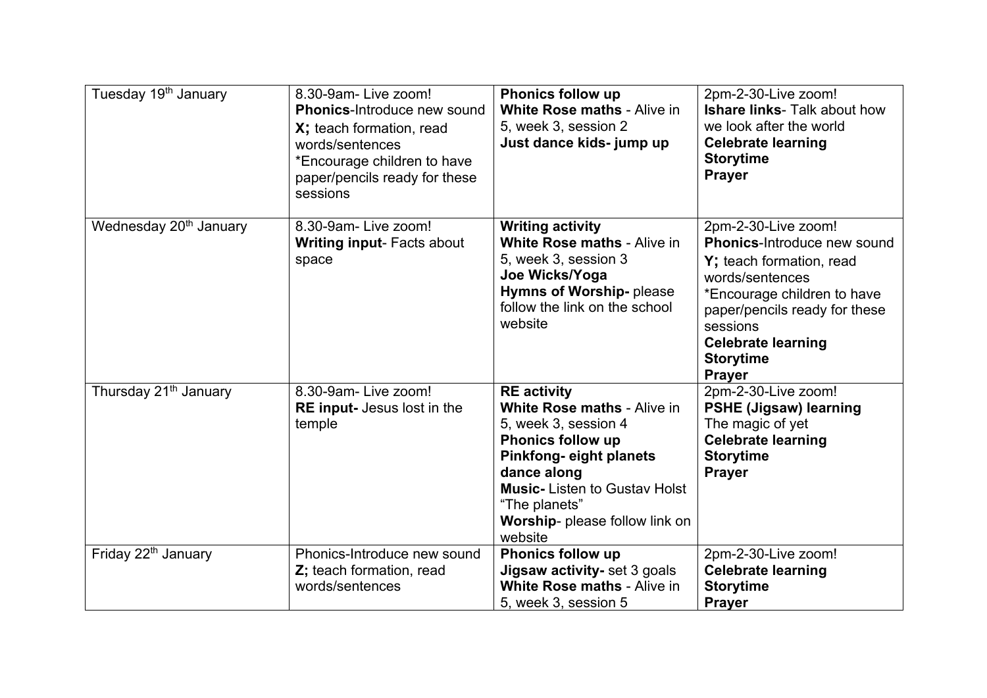| Tuesday 19 <sup>th</sup> January   | 8.30-9am-Live zoom!<br><b>Phonics-Introduce new sound</b><br>X; teach formation, read<br>words/sentences<br>*Encourage children to have<br>paper/pencils ready for these<br>sessions | <b>Phonics follow up</b><br>White Rose maths - Alive in<br>5, week 3, session 2<br>Just dance kids- jump up                                                                                                                                                       | 2pm-2-30-Live zoom!<br><b>Ishare links-</b> Talk about how<br>we look after the world<br><b>Celebrate learning</b><br><b>Storytime</b><br><b>Prayer</b>                                                                                         |
|------------------------------------|--------------------------------------------------------------------------------------------------------------------------------------------------------------------------------------|-------------------------------------------------------------------------------------------------------------------------------------------------------------------------------------------------------------------------------------------------------------------|-------------------------------------------------------------------------------------------------------------------------------------------------------------------------------------------------------------------------------------------------|
| Wednesday 20 <sup>th</sup> January | 8.30-9am-Live zoom!<br><b>Writing input- Facts about</b><br>space                                                                                                                    | <b>Writing activity</b><br><b>White Rose maths - Alive in</b><br>5, week 3, session 3<br>Joe Wicks/Yoga<br>Hymns of Worship- please<br>follow the link on the school<br>website                                                                                   | 2pm-2-30-Live zoom!<br>Phonics-Introduce new sound<br>Y; teach formation, read<br>words/sentences<br>*Encourage children to have<br>paper/pencils ready for these<br>sessions<br><b>Celebrate learning</b><br><b>Storytime</b><br><b>Prayer</b> |
| Thursday 21 <sup>th</sup> January  | 8.30-9am-Live zoom!<br><b>RE</b> input- Jesus lost in the<br>temple                                                                                                                  | <b>RE</b> activity<br><b>White Rose maths - Alive in</b><br>5, week 3, session 4<br><b>Phonics follow up</b><br><b>Pinkfong-eight planets</b><br>dance along<br><b>Music-Listen to Gustav Holst</b><br>"The planets"<br>Worship- please follow link on<br>website | 2pm-2-30-Live zoom!<br><b>PSHE (Jigsaw) learning</b><br>The magic of yet<br><b>Celebrate learning</b><br><b>Storytime</b><br><b>Prayer</b>                                                                                                      |
| Friday 22 <sup>th</sup> January    | Phonics-Introduce new sound<br>Z; teach formation, read<br>words/sentences                                                                                                           | <b>Phonics follow up</b><br>Jigsaw activity- set 3 goals<br>White Rose maths - Alive in<br>5, week 3, session 5                                                                                                                                                   | 2pm-2-30-Live zoom!<br><b>Celebrate learning</b><br><b>Storytime</b><br><b>Prayer</b>                                                                                                                                                           |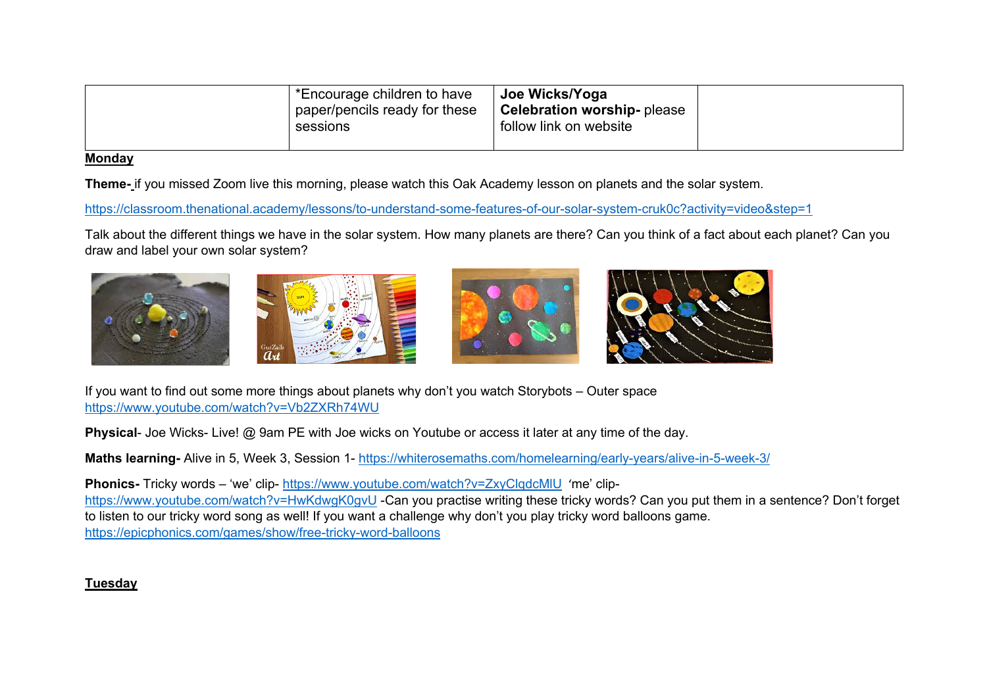| *Encourage children to have<br>paper/pencils ready for these<br>sessions | Joe Wicks/Yoga<br><b>Celebration worship-</b> please<br>follow link on website |  |
|--------------------------------------------------------------------------|--------------------------------------------------------------------------------|--|
|--------------------------------------------------------------------------|--------------------------------------------------------------------------------|--|

#### **Monday**

**Theme-** if you missed Zoom live this morning, please watch this Oak Academy lesson on planets and the solar system.

https://classroom.thenational.academy/lessons/to-understand-some-features-of-our-solar-system-cruk0c?activity=video&step=1

Talk about the different things we have in the solar system. How many planets are there? Can you think of a fact about each planet? Can you draw and label your own solar system?







If you want to find out some more things about planets why don't you watch Storybots – Outer space https://www.youtube.com/watch?v=Vb2ZXRh74WU

**Physical-** Joe Wicks- Live! @ 9am PE with Joe wicks on Youtube or access it later at any time of the day.

**Maths learning-** Alive in 5, Week 3, Session 1- https://whiterosemaths.com/homelearning/early-years/alive-in-5-week-3/

**Phonics-** Tricky words – 'we' clip- https://www.youtube.com/watch?v=ZxyClqdcMlU 'me' cliphttps://www.youtube.com/watch?v=HwKdwgK0gvU -Can you practise writing these tricky words? Can you put them in a sentence? Don't forget to listen to our tricky word song as well! If you want a challenge why don't you play tricky word balloons game. https://epicphonics.com/games/show/free-tricky-word-balloons

# **Tuesday**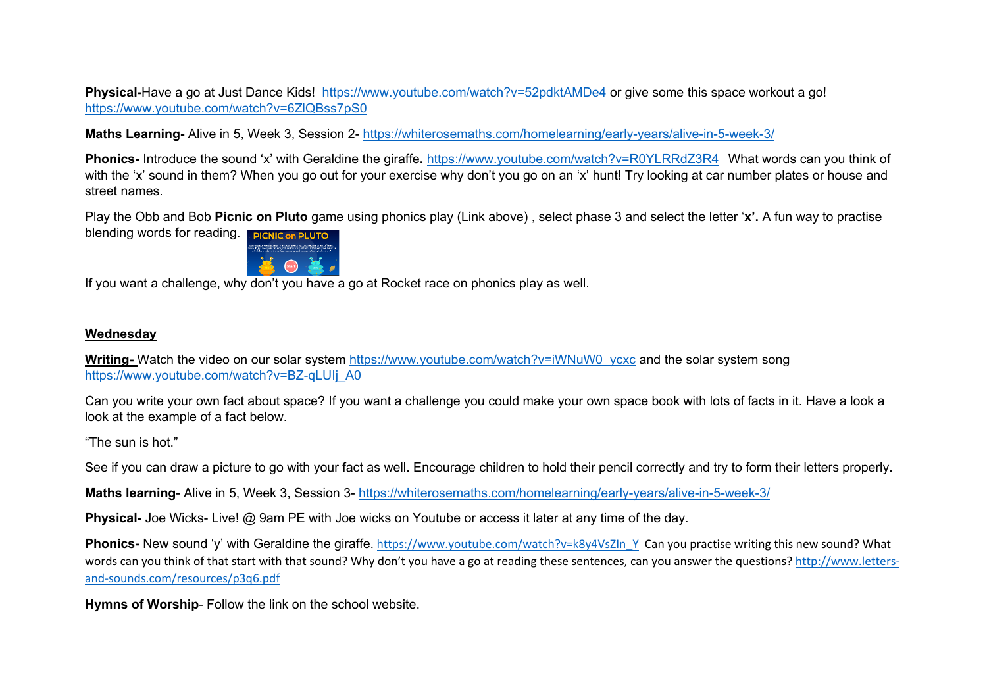**Physical-Have a go at Just Dance Kids! https://www.youtube.com/watch?v=52pdktAMDe4 or give some this space workout a go!** https://www.youtube.com/watch?v=6ZlQBss7pS0

**Maths Learning-** Alive in 5, Week 3, Session 2- https://whiterosemaths.com/homelearning/early-years/alive-in-5-week-3/

**Phonics-** Introduce the sound 'x' with Geraldine the giraffe**.** https://www.youtube.com/watch?v=R0YLRRdZ3R4 What words can you think of with the 'x' sound in them? When you go out for your exercise why don't you go on an 'x' hunt! Try looking at car number plates or house and street names.

Play the Obb and Bob **Picnic on Pluto** game using phonics play (Link above) , select phase 3 and select the letter '**x'.** A fun way to practise blending words for reading. PICNIC on PLUTO



If you want a challenge, why don't you have a go at Rocket race on phonics play as well.

### **Wednesday**

**Writing-** Watch the video on our solar system https://www.youtube.com/watch?v=iWNuW0\_ycxc and the solar system song https://www.youtube.com/watch?v=BZ-qLUIj\_A0

Can you write your own fact about space? If you want a challenge you could make your own space book with lots of facts in it. Have a look a look at the example of a fact below.

"The sun is hot."

See if you can draw a picture to go with your fact as well. Encourage children to hold their pencil correctly and try to form their letters properly.

**Maths learning**- Alive in 5, Week 3, Session 3- https://whiterosemaths.com/homelearning/early-years/alive-in-5-week-3/

**Physical-** Joe Wicks- Live! @ 9am PE with Joe wicks on Youtube or access it later at any time of the day.

**Phonics-** New sound 'y' with Geraldine the giraffe. https://www.youtube.com/watch?v=k8y4VsZIn\_Y\_Can you practise writing this new sound? What words can you think of that start with that sound? Why don't you have a go at reading these sentences, can you answer the questions? http://www.lettersand-sounds.com/resources/p3q6.pdf

**Hymns of Worship**- Follow the link on the school website.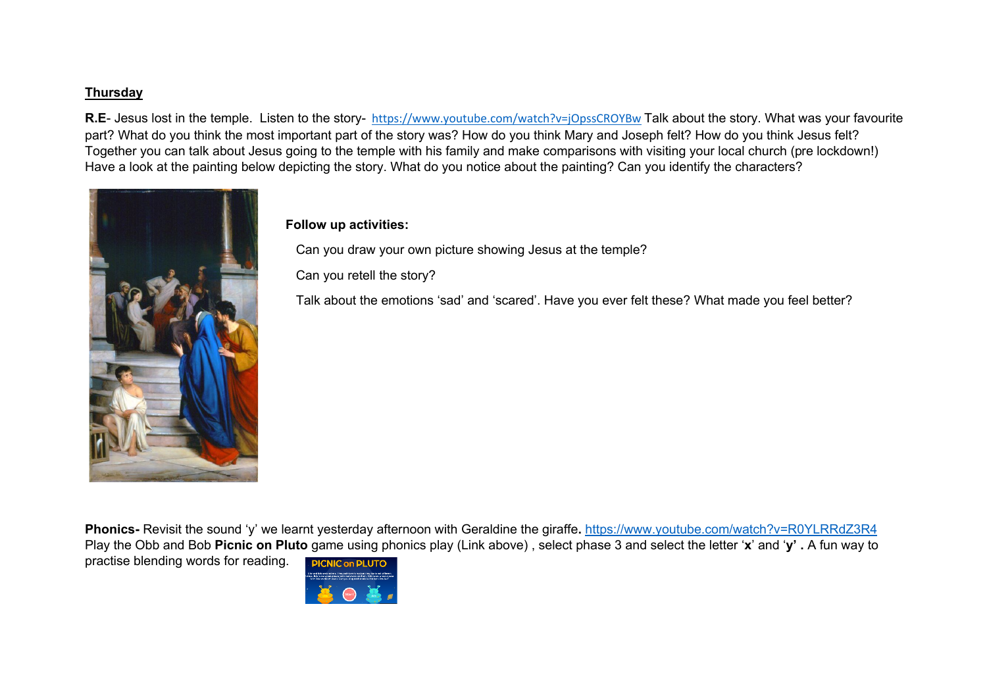## **Thursday**

R.E- Jesus lost in the temple. Listen to the story- https://www.youtube.com/watch?v=jOpssCROYBw Talk about the story. What was your favourite part? What do you think the most important part of the story was? How do you think Mary and Joseph felt? How do you think Jesus felt? Together you can talk about Jesus going to the temple with his family and make comparisons with visiting your local church (pre lockdown!) Have a look at the painting below depicting the story. What do you notice about the painting? Can you identify the characters?



#### **Follow up activities:**

Can you draw your own picture showing Jesus at the temple?

Can you retell the story?

Talk about the emotions 'sad' and 'scared'. Have you ever felt these? What made you feel better?

**Phonics-** Revisit the sound 'y' we learnt yesterday afternoon with Geraldine the giraffe**.** https://www.youtube.com/watch?v=R0YLRRdZ3R4 Play the Obb and Bob **Picnic on Pluto** game using phonics play (Link above) , select phase 3 and select the letter '**x**' and '**y' .** A fun way to practise blending words for reading.**PICNIC on PLUTO** 

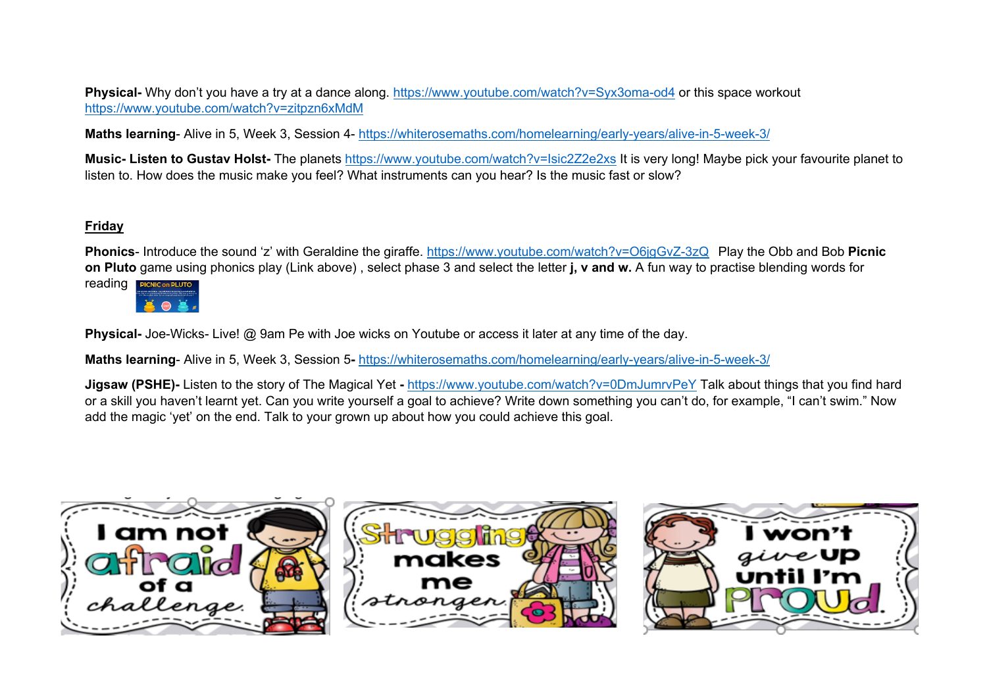**Physical-** Why don't you have a try at a dance along. https://www.youtube.com/watch?v=Syx3oma-od4 or this space workout https://www.youtube.com/watch?v=zitpzn6xMdM

**Maths learning**- Alive in 5, Week 3, Session 4- https://whiterosemaths.com/homelearning/early-years/alive-in-5-week-3/

**Music- Listen to Gustav Holst-** The planets https://www.youtube.com/watch?v=Isic2Z2e2xs It is very long! Maybe pick your favourite planet to listen to. How does the music make you feel? What instruments can you hear? Is the music fast or slow?

### **Friday**

**Phonics**- Introduce the sound 'z' with Geraldine the giraffe. https://www.youtube.com/watch?v=O6jgGvZ-3zQ Play the Obb and Bob **Picnic on Pluto** game using phonics play (Link above) , select phase 3 and select the letter **j, v and w.** A fun way to practise blending words for



**Physical-** Joe-Wicks- Live! @ 9am Pe with Joe wicks on Youtube or access it later at any time of the day.

**Maths learning**- Alive in 5, Week 3, Session 5**-** https://whiterosemaths.com/homelearning/early-years/alive-in-5-week-3/

**Jigsaw (PSHE)-** Listen to the story of The Magical Yet **-** https://www.youtube.com/watch?v=0DmJumrvPeY Talk about things that you find hard or a skill you haven't learnt yet. Can you write yourself a goal to achieve? Write down something you can't do, for example, "I can't swim." Now add the magic 'yet' on the end. Talk to your grown up about how you could achieve this goal.